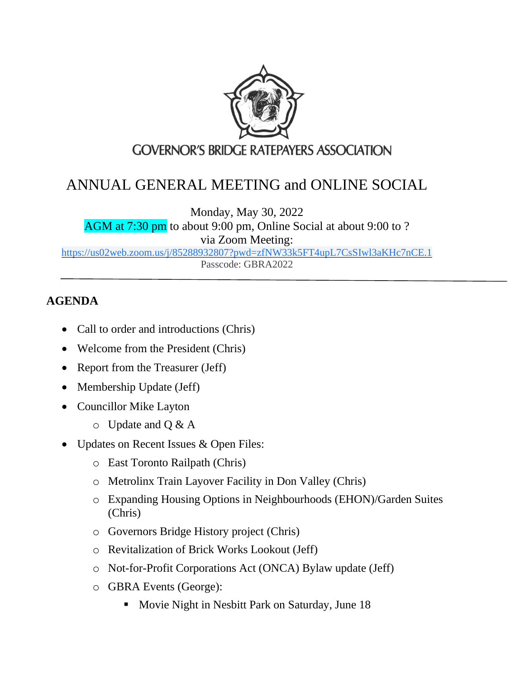

## ANNUAL GENERAL MEETING and ONLINE SOCIAL

Monday, May 30, 2022

AGM at 7:30 pm to about 9:00 pm, Online Social at about 9:00 to ? via Zoom Meeting:

[https://us02web.zoom.us/j/85288932807?pwd=zfNW33k5FT4upL7CsSIwl3aKHc7nCE.1](https://www.google.com/url?q=https://us02web.zoom.us/j/85288932807?pwd%3DzfNW33k5FT4upL7CsSIwl3aKHc7nCE.1&sa=D&source=calendar&usd=2&usg=AOvVaw3pGNk_IUzHkYqucS-TaSF1) Passcode: GBRA2022

## **AGENDA**

- Call to order and introductions (Chris)
- Welcome from the President (Chris)
- Report from the Treasurer (Jeff)
- Membership Update (Jeff)
- Councillor Mike Layton
	- $\circ$  Update and Q & A
- Updates on Recent Issues & Open Files:
	- o East Toronto Railpath (Chris)
	- o Metrolinx Train Layover Facility in Don Valley (Chris)
	- o [Expanding Housing Options in Neighbourhoods](https://www.toronto.ca/city-government/planning-development/planning-studies-initiatives/expanding-housing-options/) (EHON)/Garden Suites (Chris)
	- o Governors Bridge History project (Chris[\)](https://www.ontario.ca/laws/statute/10n15)
	- o [Revitalization of Brick Works Lookout \(Jeff\)](https://www.ontario.ca/laws/statute/10n15)
	- o [Not-for-Profit Corporations Act \(O](https://www.ontario.ca/laws/statute/10n15)NCA) Bylaw update (Jeff)
	- o GBRA Events (George):
		- Movie Night in Nesbitt Park on Saturday, June 18